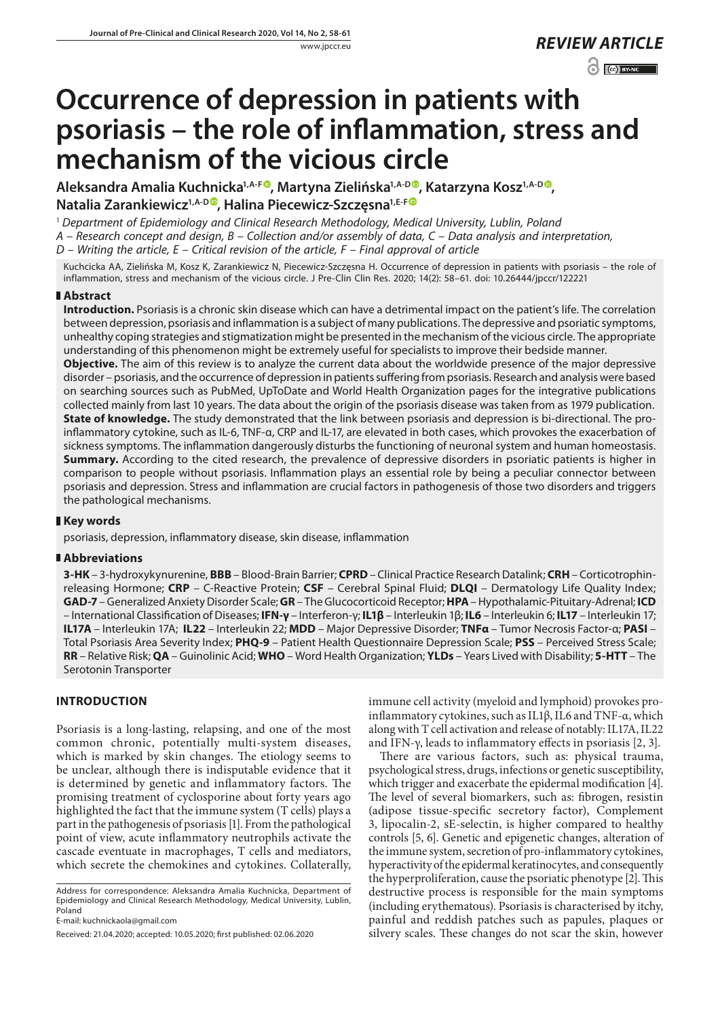$\odot$   $\odot$  BY-NC

# **Occurrence of depression in patients with psoriasis – the role of inflammation, stress and mechanism of the vicious circle**

Aleksandra Amalia Kuchnicka<sup>1,A-F®</sup>, Martyna Zielińska<sup>1,A-D®</sup>, Katarzyna Kosz<sup>1,A-D®</sup>, **Natalia Zarankiewicz1,A-D , Halina Piecewicz-Szczęsna1,E-F**

<sup>1</sup> *Department of Epidemiology and Clinical Research Methodology, Medical University, Lublin, Poland*

*A – Research concept and design, B – Collection and/or assembly of data, C – Data analysis and interpretation,* 

*D – Writing the article, E – Critical revision of the article, F – Final approval of article*

Kuchcicka AA, Zielińska M, Kosz K, Zarankiewicz N, Piecewicz-Szczęsna H. Occurrence of depression in patients with psoriasis – the role of inflammation, stress and mechanism of the vicious circle. J Pre-Clin Clin Res. 2020; 14(2): 58–61. doi: 10.26444/jpccr/122221

## **Abstract**

**Introduction.** Psoriasis is a chronic skin disease which can have a detrimental impact on the patient's life. The correlation between depression, psoriasis and inflammation is a subject of many publications. The depressive and psoriatic symptoms, unhealthy coping strategies and stigmatization might be presented in the mechanism of the vicious circle. The appropriate understanding of this phenomenon might be extremely useful for specialists to improve their bedside manner.

**Objective.** The aim of this review is to analyze the current data about the worldwide presence of the major depressive disorder – psoriasis, and the occurrence of depression in patients suffering from psoriasis. Research and analysis were based on searching sources such as PubMed, UpToDate and World Health Organization pages for the integrative publications collected mainly from last 10 years. The data about the origin of the psoriasis disease was taken from as 1979 publication. **State of knowledge.** The study demonstrated that the link between psoriasis and depression is bi-directional. The proinflammatory cytokine, such as IL-6, TNF-α, CRP and IL-17, are elevated in both cases, which provokes the exacerbation of sickness symptoms. The inflammation dangerously disturbs the functioning of neuronal system and human homeostasis. **Summary.** According to the cited research, the prevalence of depressive disorders in psoriatic patients is higher in comparison to people without psoriasis. Inflammation plays an essential role by being a peculiar connector between psoriasis and depression. Stress and inflammation are crucial factors in pathogenesis of those two disorders and triggers the pathological mechanisms.

## **Key words**

psoriasis, depression, inflammatory disease, skin disease, inflammation

## **Abbreviations**

**3-HK** – 3-hydroxykynurenine, **BBB** – Blood-Brain Barrier; **CPRD** – Clinical Practice Research Datalink; **CRH** – Corticotrophinreleasing Hormone; **CRP** – C-Reactive Protein; **CSF** – Cerebral Spinal Fluid; **DLQI** – Dermatology Life Quality Index; **GAD-7** – Generalized Anxiety Disorder Scale; **GR** – The Glucocorticoid Receptor; **HPA** – Hypothalamic-Pituitary-Adrenal; **ICD** – International Classification of Diseases; **IFN-γ** – Interferon-γ; **IL1β** – Interleukin 1β; **IL6** – Interleukin 6; **IL17** – Interleukin 17; **IL17A** – Interleukin 17A; **IL22** – Interleukin 22; **MDD** – Major Depressive Disorder; **TNFα** – Tumor Necrosis Factor-α; **PASI** – Total Psoriasis Area Severity Index; **PHQ-9** – Patient Health Questionnaire Depression Scale; **PSS** – Perceived Stress Scale; **RR** – Relative Risk; **QA** – Guinolinic Acid; **WHO** – Word Health Organization; **YLDs** – Years Lived with Disability; **5-HTT** – The Serotonin Transporter

## **INTRODUCTION**

Psoriasis is a long-lasting, relapsing, and one of the most common chronic, potentially multi-system diseases, which is marked by skin changes. The etiology seems to be unclear, although there is indisputable evidence that it is determined by genetic and inflammatory factors. The promising treatment of cyclosporine about forty years ago highlighted the fact that the immune system (T cells) plays a part in the pathogenesis of psoriasis [1]. From the pathological point of view, acute inflammatory neutrophils activate the cascade eventuate in macrophages, T cells and mediators, which secrete the chemokines and cytokines. Collaterally,

Address for correspondence: Aleksandra Amalia Kuchnicka, Department of Epidemiology and Clinical Research Methodology, Medical University, Lublin, Poland

E-mail: [kuchnickaola@gmail.com](mailto:kuchnickaola@gmail.com)

Received: 21.04.2020; accepted: 10.05.2020; first published: 02.06.2020

immune cell activity (myeloid and lymphoid) provokes proinflammatory cytokines, such as IL1β, IL6 and TNF-α, which along with T cell activation and release of notably: IL17A, IL22 and IFN-γ, leads to inflammatory effects in psoriasis [2, 3].

There are various factors, such as: physical trauma, psychological stress, drugs, infections or genetic susceptibility, which trigger and exacerbate the epidermal modification [4]. The level of several biomarkers, such as: fibrogen, resistin (adipose tissue-specific secretory factor), Complement 3, lipocalin-2, sE-selectin, is higher compared to healthy controls [5, 6]. Genetic and epigenetic changes, alteration of the immune system, secretion of pro-inflammatory cytokines, hyperactivity of the epidermal keratinocytes, and consequently the hyperproliferation, cause the psoriatic phenotype [2]. This destructive process is responsible for the main symptoms (including erythematous). Psoriasis is characterised by itchy, painful and reddish patches such as papules, plaques or silvery scales. These changes do not scar the skin, however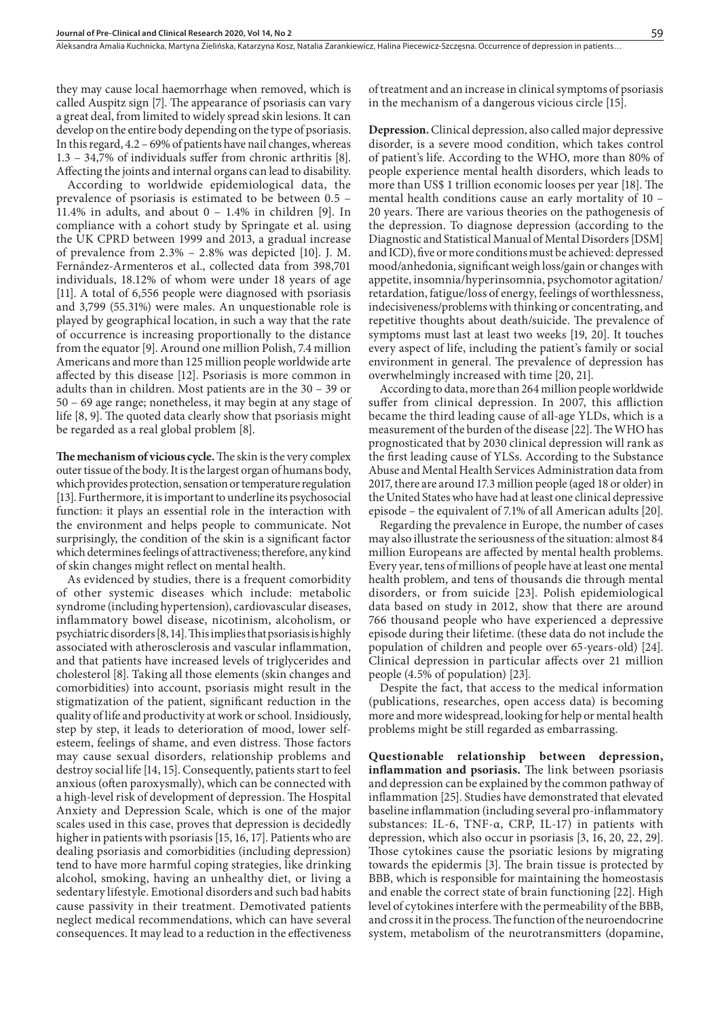they may cause local haemorrhage when removed, which is called Auspitz sign [7]. The appearance of psoriasis can vary a great deal, from limited to widely spread skin lesions. It can develop on the entire body depending on the type of psoriasis. In this regard, 4.2 – 69% of patients have nail changes, whereas 1.3 – 34,7% of individuals suffer from chronic arthritis [8]. Affecting the joints and internal organs can lead to disability.

According to worldwide epidemiological data, the prevalence of psoriasis is estimated to be between 0.5 – 11.4% in adults, and about 0 – 1.4% in children [9]. In compliance with a cohort study by Springate et al. using the UK CPRD between 1999 and 2013, a gradual increase of prevalence from 2.3% – 2.8% was depicted [10]. J. M. Fernández-Armenteros et al., collected data from 398,701 individuals, 18.12% of whom were under 18 years of age [11]. A total of 6,556 people were diagnosed with psoriasis and 3,799 (55.31%) were males. An unquestionable role is played by geographical location, in such a way that the rate of occurrence is increasing proportionally to the distance from the equator [9]. Around one million Polish, 7.4 million Americans and more than 125 million people worldwide arte affected by this disease [12]. Psoriasis is more common in adults than in children. Most patients are in the 30 – 39 or 50 – 69 age range; nonetheless, it may begin at any stage of life [8, 9]. The quoted data clearly show that psoriasis might be regarded as a real global problem [8].

**The mechanism of vicious cycle.** The skin is the very complex outer tissue of the body. It is the largest organ of humans body, which provides protection, sensation or temperature regulation [13]. Furthermore, it is important to underline its psychosocial function: it plays an essential role in the interaction with the environment and helps people to communicate. Not surprisingly, the condition of the skin is a significant factor which determines feelings of attractiveness; therefore, any kind of skin changes might reflect on mental health.

As evidenced by studies, there is a frequent comorbidity of other systemic diseases which include: metabolic syndrome (including hypertension), cardiovascular diseases, inflammatory bowel disease, nicotinism, alcoholism, or psychiatric disorders [8, 14]. This implies that psoriasis is highly associated with atherosclerosis and vascular inflammation, and that patients have increased levels of triglycerides and cholesterol [8]. Taking all those elements (skin changes and comorbidities) into account, psoriasis might result in the stigmatization of the patient, significant reduction in the quality of life and productivity at work or school. Insidiously, step by step, it leads to deterioration of mood, lower selfesteem, feelings of shame, and even distress. Those factors may cause sexual disorders, relationship problems and destroy social life [14, 15]. Consequently, patients start to feel anxious (often paroxysmally), which can be connected with a high-level risk of development of depression. The Hospital Anxiety and Depression Scale, which is one of the major scales used in this case, proves that depression is decidedly higher in patients with psoriasis [15, 16, 17]. Patients who are dealing psoriasis and comorbidities (including depression) tend to have more harmful coping strategies, like drinking alcohol, smoking, having an unhealthy diet, or living a sedentary lifestyle. Emotional disorders and such bad habits cause passivity in their treatment. Demotivated patients neglect medical recommendations, which can have several consequences. It may lead to a reduction in the effectiveness

of treatment and an increase in clinical symptoms of psoriasis in the mechanism of a dangerous vicious circle [15].

**Depression.** Clinical depression, also called major depressive disorder, is a severe mood condition, which takes control of patient's life. According to the WHO, more than 80% of people experience mental health disorders, which leads to more than US\$ 1 trillion economic looses per year [18]. The mental health conditions cause an early mortality of 10 – 20 years. There are various theories on the pathogenesis of the depression. To diagnose depression (according to the Diagnostic and Statistical Manual of Mental Disorders [DSM] and ICD), five or more conditions must be achieved: depressed mood/anhedonia, significant weigh loss/gain or changes with appetite, insomnia/hyperinsomnia, psychomotor agitation/ retardation, fatigue/loss of energy, feelings of worthlessness, indecisiveness/problems with thinking or concentrating, and repetitive thoughts about death/suicide. The prevalence of symptoms must last at least two weeks [19, 20]. It touches every aspect of life, including the patient's family or social environment in general. The prevalence of depression has overwhelmingly increased with time [20, 21].

According to data, more than 264 million people worldwide suffer from clinical depression. In 2007, this affliction became the third leading cause of all-age YLDs, which is a measurement of the burden of the disease [22]. The WHO has prognosticated that by 2030 clinical depression will rank as the first leading cause of YLSs. According to the Substance Abuse and Mental Health Services Administration data from 2017, there are around 17.3 million people (aged 18 or older) in the United States who have had at least one clinical depressive episode – the equivalent of 7.1% of all American adults [20].

Regarding the prevalence in Europe, the number of cases may also illustrate the seriousness of the situation: almost 84 million Europeans are affected by mental health problems. Every year, tens of millions of people have at least one mental health problem, and tens of thousands die through mental disorders, or from suicide [23]. Polish epidemiological data based on study in 2012, show that there are around 766 thousand people who have experienced a depressive episode during their lifetime. (these data do not include the population of children and people over 65-years-old) [24]. Clinical depression in particular affects over 21 million people (4.5% of population) [23].

Despite the fact, that access to the medical information (publications, researches, open access data) is becoming more and more widespread, looking for help or mental health problems might be still regarded as embarrassing.

**Questionable relationship between depression, inflammation and psoriasis.** The link between psoriasis and depression can be explained by the common pathway of inflammation [25]. Studies have demonstrated that elevated baseline inflammation (including several pro-inflammatory substances: IL-6, TNF- $\alpha$ , CRP, IL-17) in patients with depression, which also occur in psoriasis [3, 16, 20, 22, 29]. Those cytokines cause the psoriatic lesions by migrating towards the epidermis [3]. The brain tissue is protected by BBB, which is responsible for maintaining the homeostasis and enable the correct state of brain functioning [22]. High level of cytokines interfere with the permeability of the BBB, and cross it in the process. The function of the neuroendocrine system, metabolism of the neurotransmitters (dopamine,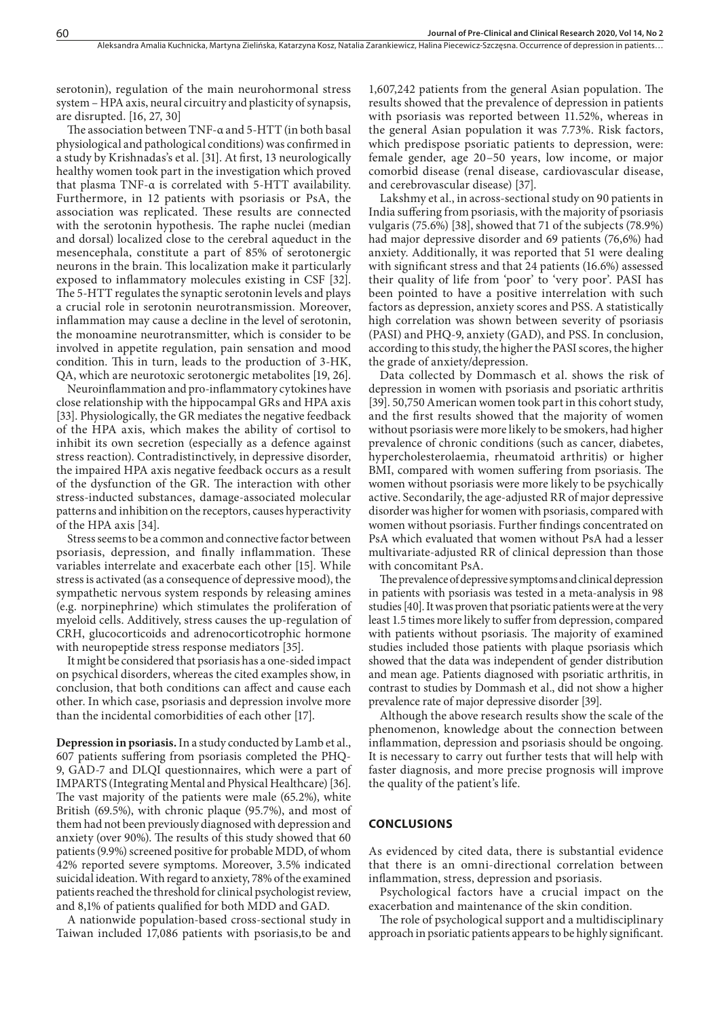serotonin), regulation of the main neurohormonal stress system – HPA axis, neural circuitry and plasticity of synapsis, are disrupted. [16, 27, 30]

The association between TNF-α and 5-HTT (in both basal physiological and pathological conditions) was confirmed in a study by Krishnadas's et al. [31]. At first, 13 neurologically healthy women took part in the investigation which proved that plasma TNF-α is correlated with 5-HTT availability. Furthermore, in 12 patients with psoriasis or PsA, the association was replicated. These results are connected with the serotonin hypothesis. The raphe nuclei (median and dorsal) localized close to the cerebral aqueduct in the mesencephala, constitute a part of 85% of serotonergic neurons in the brain. This localization make it particularly exposed to inflammatory molecules existing in CSF [32]. The 5-HTT regulates the synaptic serotonin levels and plays a crucial role in serotonin neurotransmission. Moreover, inflammation may cause a decline in the level of serotonin, the monoamine neurotransmitter, which is consider to be involved in appetite regulation, pain sensation and mood condition. This in turn, leads to the production of 3-HK, QA, which are neurotoxic serotonergic metabolites [19, 26].

Neuroinflammation and pro-inflammatory cytokines have close relationship with the hippocampal GRs and HPA axis [33]. Physiologically, the GR mediates the negative feedback of the HPA axis, which makes the ability of cortisol to inhibit its own secretion (especially as a defence against stress reaction). Contradistinctively, in depressive disorder, the impaired HPA axis negative feedback occurs as a result of the dysfunction of the GR. The interaction with other stress-inducted substances, damage-associated molecular patterns and inhibition on the receptors, causes hyperactivity of the HPA axis [34].

Stress seems to be a common and connective factor between psoriasis, depression, and finally inflammation. These variables interrelate and exacerbate each other [15]. While stress is activated (as a consequence of depressive mood), the sympathetic nervous system responds by releasing amines (e.g. norpinephrine) which stimulates the proliferation of myeloid cells. Additively, stress causes the up-regulation of CRH, glucocorticoids and adrenocorticotrophic hormone with neuropeptide stress response mediators [35].

It might be considered that psoriasis has a one-sided impact on psychical disorders, whereas the cited examples show, in conclusion, that both conditions can affect and cause each other. In which case, psoriasis and depression involve more than the incidental comorbidities of each other [17].

**Depression in psoriasis.** In a study conducted by Lamb et al., 607 patients suffering from psoriasis completed the PHQ-9, GAD-7 and DLQI questionnaires, which were a part of IMPARTS (Integrating Mental and Physical Healthcare) [36]. The vast majority of the patients were male (65.2%), white British (69.5%), with chronic plaque (95.7%), and most of them had not been previously diagnosed with depression and anxiety (over 90%). The results of this study showed that 60 patients (9.9%) screened positive for probable MDD, of whom 42% reported severe symptoms. Moreover, 3.5% indicated suicidal ideation. With regard to anxiety, 78% of the examined patients reached the threshold for clinical psychologist review, and 8,1% of patients qualified for both MDD and GAD.

A nationwide population-based cross-sectional study in Taiwan included 17,086 patients with psoriasis,to be and

1,607,242 patients from the general Asian population. The results showed that the prevalence of depression in patients with psoriasis was reported between 11.52%, whereas in the general Asian population it was 7.73%. Risk factors, which predispose psoriatic patients to depression, were: female gender, age 20–50 years, low income, or major comorbid disease (renal disease, cardiovascular disease, and cerebrovascular disease) [37].

Lakshmy et al., in across-sectional study on 90 patients in India suffering from psoriasis, with the majority of psoriasis vulgaris (75.6%) [38], showed that 71 of the subjects (78.9%) had major depressive disorder and 69 patients (76,6%) had anxiety. Additionally, it was reported that 51 were dealing with significant stress and that 24 patients (16.6%) assessed their quality of life from 'poor' to 'very poor'. PASI has been pointed to have a positive interrelation with such factors as depression, anxiety scores and PSS. A statistically high correlation was shown between severity of psoriasis (PASI) and PHQ-9, anxiety (GAD), and PSS. In conclusion, according to this study, the higher the PASI scores, the higher the grade of anxiety/depression.

Data collected by Dommasch et al. shows the risk of depression in women with psoriasis and psoriatic arthritis [39]. 50,750 American women took part in this cohort study, and the first results showed that the majority of women without psoriasis were more likely to be smokers, had higher prevalence of chronic conditions (such as cancer, diabetes, hypercholesterolaemia, rheumatoid arthritis) or higher BMI, compared with women suffering from psoriasis. The women without psoriasis were more likely to be psychically active. Secondarily, the age-adjusted RR of major depressive disorder was higher for women with psoriasis, compared with women without psoriasis. Further findings concentrated on PsA which evaluated that women without PsA had a lesser multivariate-adjusted RR of clinical depression than those with concomitant PsA.

The prevalence of depressive symptoms and clinical depression in patients with psoriasis was tested in a meta-analysis in 98 studies [40]. It was proven that psoriatic patients were at the very least 1.5 times more likely to suffer from depression, compared with patients without psoriasis. The majority of examined studies included those patients with plaque psoriasis which showed that the data was independent of gender distribution and mean age. Patients diagnosed with psoriatic arthritis, in contrast to studies by Dommash et al., did not show a higher prevalence rate of major depressive disorder [39].

Although the above research results show the scale of the phenomenon, knowledge about the connection between inflammation, depression and psoriasis should be ongoing. It is necessary to carry out further tests that will help with faster diagnosis, and more precise prognosis will improve the quality of the patient's life.

#### **CONCLUSIONS**

As evidenced by cited data, there is substantial evidence that there is an omni-directional correlation between inflammation, stress, depression and psoriasis.

Psychological factors have a crucial impact on the exacerbation and maintenance of the skin condition.

The role of psychological support and a multidisciplinary approach in psoriatic patients appears to be highly significant.